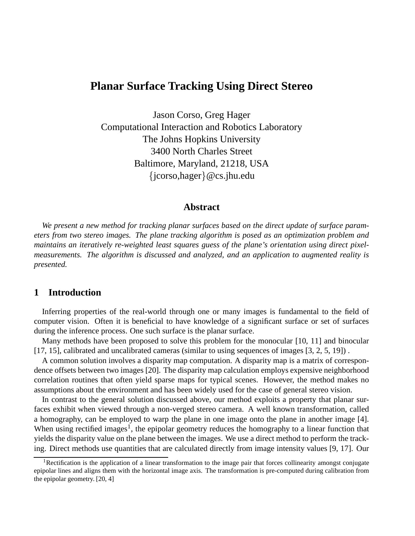# **Planar Surface Tracking Using Direct Stereo**

Jason Corso, Greg Hager Computational Interaction and Robotics Laboratory The Johns Hopkins University 3400 North Charles Street Baltimore, Maryland, 21218, USA {jcorso,hager}@cs.jhu.edu

### **Abstract**

*We present a new method for tracking planar surfaces based on the direct update of surface parameters from two stereo images. The plane tracking algorithm is posed as an optimization problem and maintains an iteratively re-weighted least squares guess of the plane's orientation using direct pixelmeasurements. The algorithm is discussed and analyzed, and an application to augmented reality is presented.*

### **1 Introduction**

Inferring properties of the real-world through one or many images is fundamental to the field of computer vision. Often it is beneficial to have knowledge of a significant surface or set of surfaces during the inference process. One such surface is the planar surface.

Many methods have been proposed to solve this problem for the monocular [10, 11] and binocular [17, 15], calibrated and uncalibrated cameras (similar to using sequences of images [3, 2, 5, 19]) .

A common solution involves a disparity map computation. A disparity map is a matrix of correspondence offsets between two images [20]. The disparity map calculation employs expensive neighborhood correlation routines that often yield sparse maps for typical scenes. However, the method makes no assumptions about the environment and has been widely used for the case of general stereo vision.

In contrast to the general solution discussed above, our method exploits a property that planar surfaces exhibit when viewed through a non-verged stereo camera. A well known transformation, called a homography, can be employed to warp the plane in one image onto the plane in another image [4]. When using rectified images<sup>1</sup>, the epipolar geometry reduces the homography to a linear function that yields the disparity value on the plane between the images. We use a direct method to perform the tracking. Direct methods use quantities that are calculated directly from image intensity values [9, 17]. Our

<sup>&</sup>lt;sup>1</sup>Rectification is the application of a linear transformation to the image pair that forces collinearity amongst conjugate epipolar lines and aligns them with the horizontal image axis. The transformation is pre-computed during calibration from the epipolar geometry. [20, 4]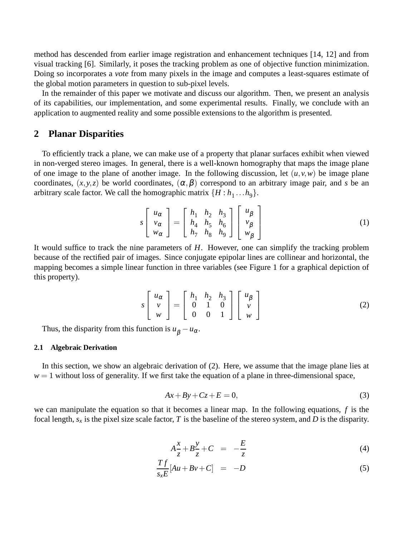method has descended from earlier image registration and enhancement techniques [14, 12] and from visual tracking [6]. Similarly, it poses the tracking problem as one of objective function minimization. Doing so incorporates a *vote* from many pixels in the image and computes a least-squares estimate of the global motion parameters in question to sub-pixel levels.

In the remainder of this paper we motivate and discuss our algorithm. Then, we present an analysis of its capabilities, our implementation, and some experimental results. Finally, we conclude with an application to augmented reality and some possible extensions to the algorithm is presented.

### **2 Planar Disparities**

To efficiently track a plane, we can make use of a property that planar surfaces exhibit when viewed in non-verged stereo images. In general, there is a well-known homography that maps the image plane of one image to the plane of another image. In the following discussion, let  $(u, v, w)$  be image plane coordinates,  $(x, y, z)$  be world coordinates,  $(\alpha, \beta)$  correspond to an arbitrary image pair, and *s* be an arbitrary scale factor. We call the homographic matrix  $\{H : h_1 ... h_9\}$ .

$$
s\begin{bmatrix} u_{\alpha} \\ v_{\alpha} \\ w_{\alpha} \end{bmatrix} = \begin{bmatrix} h_1 & h_2 & h_3 \\ h_4 & h_5 & h_6 \\ h_7 & h_8 & h_9 \end{bmatrix} \begin{bmatrix} u_{\beta} \\ v_{\beta} \\ w_{\beta} \end{bmatrix}
$$
(1)

It would suffice to track the nine parameters of *H*. However, one can simplify the tracking problem because of the rectified pair of images. Since conjugate epipolar lines are collinear and horizontal, the mapping becomes a simple linear function in three variables (see Figure 1 for a graphical depiction of this property).

$$
s\begin{bmatrix} u_{\alpha} \\ v \\ w \end{bmatrix} = \begin{bmatrix} h_1 & h_2 & h_3 \\ 0 & 1 & 0 \\ 0 & 0 & 1 \end{bmatrix} \begin{bmatrix} u_{\beta} \\ v \\ w \end{bmatrix}
$$
 (2)

Thus, the disparity from this function is  $u_{\beta} - u_{\alpha}$ .

### **2.1 Algebraic Derivation**

In this section, we show an algebraic derivation of (2). Here, we assume that the image plane lies at  $w = 1$  without loss of generality. If we first take the equation of a plane in three-dimensional space,

$$
Ax + By + Cz + E = 0,\t(3)
$$

we can manipulate the equation so that it becomes a linear map. In the following equations, *f* is the focal length,  $s_x$  is the pixel size scale factor,  $T$  is the baseline of the stereo system, and  $D$  is the disparity.

$$
A\frac{x}{z} + B\frac{y}{z} + C = -\frac{E}{z}
$$
 (4)

$$
\frac{Tf}{s_xE}[Au + Bv + C] = -D \tag{5}
$$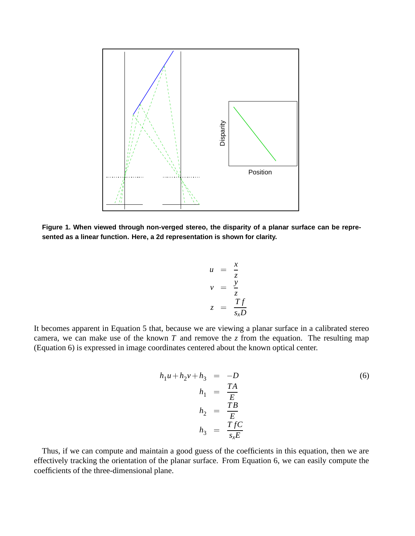

**Figure 1. When viewed through non-verged stereo, the disparity of a planar surface can be represented as a linear function. Here, a 2d representation is shown for clarity.**

$$
u = \frac{x}{z}
$$
  

$$
v = \frac{y}{z}
$$
  

$$
z = \frac{Tf}{sxD}
$$

It becomes apparent in Equation 5 that, because we are viewing a planar surface in a calibrated stereo camera, we can make use of the known *T* and remove the *z* from the equation. The resulting map (Equation 6) is expressed in image coordinates centered about the known optical center.

$$
h_1u + h_2v + h_3 = -D
$$
  
\n
$$
h_1 = \frac{TA}{E}
$$
  
\n
$$
h_2 = \frac{TB}{E}
$$
  
\n
$$
h_3 = \frac{TfC}{s_xE}
$$
  
\n(6)

Thus, if we can compute and maintain a good guess of the coefficients in this equation, then we are effectively tracking the orientation of the planar surface. From Equation 6, we can easily compute the coefficients of the three-dimensional plane.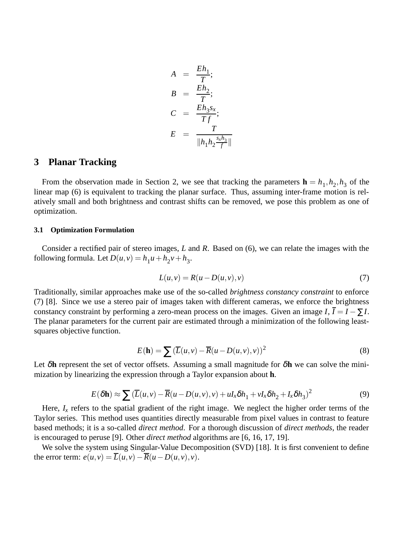$$
A = \frac{Eh_1}{T};
$$
  
\n
$$
B = \frac{Eh_2}{T};
$$
  
\n
$$
C = \frac{Eh_3s_x}{Tf};
$$
  
\n
$$
E = \frac{T}{\|h_1h_2\frac{s_xh_3}{f}\|}
$$

## **3 Planar Tracking**

From the observation made in Section 2, we see that tracking the parameters  $\mathbf{h} = h_1, h_2, h_3$  of the linear map (6) is equivalent to tracking the planar surface. Thus, assuming inter-frame motion is relatively small and both brightness and contrast shifts can be removed, we pose this problem as one of optimization.

#### **3.1 Optimization Formulation**

Consider a rectified pair of stereo images, *L* and *R*. Based on (6), we can relate the images with the following formula. Let  $D(u, v) = h_1 u + h_2 v + h_3$ .

$$
L(u, v) = R(u - D(u, v), v)
$$
\n(7)

Traditionally, similar approaches make use of the so-called *brightness constancy constraint* to enforce (7) [8]. Since we use a stereo pair of images taken with different cameras, we enforce the brightness constancy constraint by performing a zero-mean process on the images. Given an image  $I, \overline{I} = I - \sum I$ . The planar parameters for the current pair are estimated through a minimization of the following leastsquares objective function.

$$
E(\mathbf{h}) = \sum (\overline{L}(u, v) - \overline{R}(u - D(u, v), v))^2
$$
\n(8)

Let δ**h** represent the set of vector offsets. Assuming a small magnitude for δ**h** we can solve the minimization by linearizing the expression through a Taylor expansion about **h**.

$$
E(\delta \mathbf{h}) \approx \sum (\overline{L}(u, v) - \overline{R}(u - D(u, v), v) + uI_x \delta h_1 + vI_x \delta h_2 + I_x \delta h_3)^2
$$
\n(9)

Here,  $I_x$  refers to the spatial gradient of the right image. We neglect the higher order terms of the Taylor series. This method uses quantities directly measurable from pixel values in contrast to feature based methods; it is a so-called *direct method*. For a thorough discussion of *direct methods*, the reader is encouraged to peruse [9]. Other *direct method* algorithms are [6, 16, 17, 19].

We solve the system using Singular-Value Decomposition (SVD) [18]. It is first convenient to define the error term:  $e(u, v) = \overline{L}(u, v) - \overline{R}(u - D(u, v), v)$ .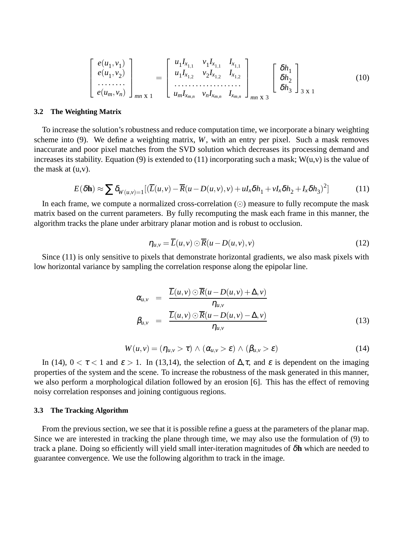$$
\begin{bmatrix} e(u_1, v_1) \\ e(u_1, v_2) \\ \dots \\ e(u_m, v_n) \end{bmatrix}_{mn \times 1} = \begin{bmatrix} u_1 I_{x_{1,1}} & v_1 I_{x_{1,1}} & I_{x_{1,1}} \\ u_1 I_{x_{1,2}} & v_2 I_{x_{1,2}} & I_{x_{1,2}} \\ \dots \\ u_m I_{x_{m,n}} & v_n I_{x_{m,n}} & I_{x_{m,n}} \end{bmatrix}_{mn \times 3} \begin{bmatrix} \delta h_1 \\ \delta h_2 \\ \delta h_3 \end{bmatrix}_{3 \times 1}
$$
 (10)

#### **3.2 The Weighting Matrix**

To increase the solution's robustness and reduce computation time, we incorporate a binary weighting scheme into (9). We define a weighting matrix, *W*, with an entry per pixel. Such a mask removes inaccurate and poor pixel matches from the SVD solution which decreases its processing demand and increases its stability. Equation (9) is extended to (11) incorporating such a mask;  $W(u,v)$  is the value of the mask at (u,v).

$$
E(\delta \mathbf{h}) \approx \sum \delta_{W(u,v)=1} [(\overline{L}(u,v) - \overline{R}(u - D(u,v),v) + uI_x \delta h_1 + vI_x \delta h_2 + I_x \delta h_3)^2]
$$
(11)

In each frame, we compute a normalized cross-correlation  $\circlearrowleft$ ) measure to fully recompute the mask matrix based on the current parameters. By fully recomputing the mask each frame in this manner, the algorithm tracks the plane under arbitrary planar motion and is robust to occlusion.

$$
\eta_{u,v} = \overline{L}(u,v) \odot \overline{R}(u - D(u,v),v) \tag{12}
$$

Since (11) is only sensitive to pixels that demonstrate horizontal gradients, we also mask pixels with low horizontal variance by sampling the correlation response along the epipolar line.

$$
\alpha_{u,v} = \frac{\overline{L}(u,v) \odot \overline{R}(u - D(u,v) + \Delta, v)}{\eta_{u,v}} \n\beta_{u,v} = \frac{\overline{L}(u,v) \odot \overline{R}(u - D(u,v) - \Delta, v)}{\eta_{u,v}}
$$
\n(13)

$$
W(u,v) = (\eta_{u,v} > \tau) \wedge (\alpha_{u,v} > \varepsilon) \wedge (\beta_{u,v} > \varepsilon)
$$
\n(14)

In (14),  $0 < \tau < 1$  and  $\varepsilon > 1$ . In (13,14), the selection of  $\Delta, \tau$ , and  $\varepsilon$  is dependent on the imaging properties of the system and the scene. To increase the robustness of the mask generated in this manner, we also perform a morphological dilation followed by an erosion [6]. This has the effect of removing noisy correlation responses and joining contiguous regions.

#### **3.3 The Tracking Algorithm**

From the previous section, we see that it is possible refine a guess at the parameters of the planar map. Since we are interested in tracking the plane through time, we may also use the formulation of (9) to track a plane. Doing so efficiently will yield small inter-iteration magnitudes of δ**h** which are needed to guarantee convergence. We use the following algorithm to track in the image.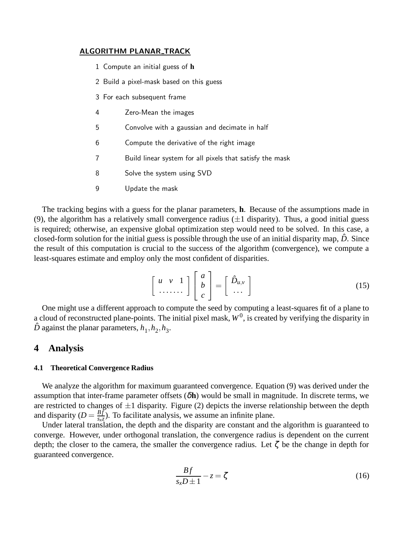### ALGORITHM PLANAR TRACK

- 1 Compute an initial guess of **h**
- 2 Build a pixel-mask based on this guess
- 3 For each subsequent frame
- 4 Zero-Mean the images
- 5 Convolve with a gaussian and decimate in half
- 6 Compute the derivative of the right image
- 7 Build linear system for all pixels that satisfy the mask
- 8 Solve the system using SVD
- 9 Update the mask

The tracking begins with a guess for the planar parameters, **h**. Because of the assumptions made in (9), the algorithm has a relatively small convergence radius  $(\pm 1)$  disparity). Thus, a good initial guess is required; otherwise, an expensive global optimization step would need to be solved. In this case, a closed-form solution for the initial guess is possible through the use of an initial disparity map,  $\hat{D}$ . Since the result of this computation is crucial to the success of the algorithm (convergence), we compute a least-squares estimate and employ only the most confident of disparities.

$$
\left[\begin{array}{cc} u & v & 1 \\ \cdots & \cdots \end{array}\right] \left[\begin{array}{c} a \\ b \\ c \end{array}\right] = \left[\begin{array}{c} \hat{D}_{u,v} \\ \cdots \end{array}\right] \tag{15}
$$

One might use a different approach to compute the seed by computing a least-squares fit of a plane to a cloud of reconstructed plane-points. The initial pixel mask,  $W<sup>0</sup>$ , is created by verifying the disparity in  $\hat{D}$  against the planar parameters,  $h_1, h_2, h_3$ .

### **4 Analysis**

#### **4.1 Theoretical Convergence Radius**

We analyze the algorithm for maximum guaranteed convergence. Equation (9) was derived under the assumption that inter-frame parameter offsets  $(\delta h)$  would be small in magnitude. In discrete terms, we are restricted to changes of  $\pm 1$  disparity. Figure (2) depicts the inverse relationship between the depth and disparity ( $D = \frac{Bf}{s}$  $\frac{Bf}{s_x z}$ ). To facilitate analysis, we assume an infinite plane.

Under lateral translation, the depth and the disparity are constant and the algorithm is guaranteed to converge. However, under orthogonal translation, the convergence radius is dependent on the current depth; the closer to the camera, the smaller the convergence radius. Let  $\zeta$  be the change in depth for guaranteed convergence.

$$
\frac{Bf}{s_x D \pm 1} - z = \zeta \tag{16}
$$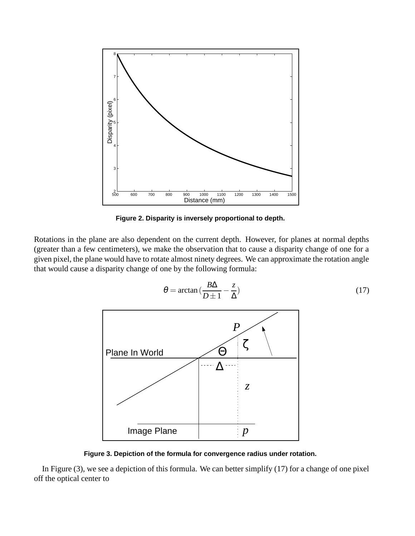

**Figure 2. Disparity is inversely proportional to depth.**

Rotations in the plane are also dependent on the current depth. However, for planes at normal depths (greater than a few centimeters), we make the observation that to cause a disparity change of one for a given pixel, the plane would have to rotate almost ninety degrees. We can approximate the rotation angle that would cause a disparity change of one by the following formula:



) (17)

**Figure 3. Depiction of the formula for convergence radius under rotation.**

In Figure (3), we see a depiction of this formula. We can better simplify (17) for a change of one pixel off the optical center to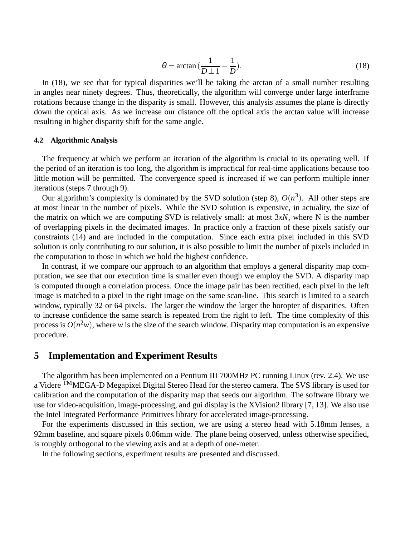$$
\theta = \arctan\left(\frac{1}{D\pm 1} - \frac{1}{D}\right). \tag{18}
$$

In (18), we see that for typical disparities we'll be taking the arctan of a small number resulting in angles near ninety degrees. Thus, theoretically, the algorithm will converge under large interframe rotations because change in the disparity is small. However, this analysis assumes the plane is directly down the optical axis. As we increase our distance off the optical axis the arctan value will increase resulting in higher disparity shift for the same angle.

#### **4.2 Algorithmic Analysis**

The frequency at which we perform an iteration of the algorithm is crucial to its operating well. If the period of an iteration is too long, the algorithm is impractical for real-time applications because too little motion will be permitted. The convergence speed is increased if we can perform multiple inner iterations (steps 7 through 9).

Our algorithm's complexity is dominated by the SVD solution (step 8),  $O(n^3)$ . All other steps are at most linear in the number of pixels. While the SVD solution is expensive, in actuality, the size of the matrix on which we are computing SVD is relatively small: at most 3*xN*, where N is the number of overlapping pixels in the decimated images. In practice only a fraction of these pixels satisfy our constraints (14) and are included in the computation. Since each extra pixel included in this SVD solution is only contributing to our solution, it is also possible to limit the number of pixels included in the computation to those in which we hold the highest confidence.

In contrast, if we compare our approach to an algorithm that employs a general disparity map computation, we see that our execution time is smaller even though we employ the SVD. A disparity map is computed through a correlation process. Once the image pair has been rectified, each pixel in the left image is matched to a pixel in the right image on the same scan-line. This search is limited to a search window, typically 32 or 64 pixels. The larger the window the larger the horopter of disparities. Often to increase confidence the same search is repeated from the right to left. The time complexity of this process is  $O(n^2w)$ , where *w* is the size of the search window. Disparity map computation is an expensive procedure.

### **5 Implementation and Experiment Results**

The algorithm has been implemented on a Pentium III 700MHz PC running Linux (rev. 2.4). We use a Videre <sup>TM</sup>MEGA-D Megapixel Digital Stereo Head for the stereo camera. The SVS library is used for calibration and the computation of the disparity map that seeds our algorithm. The software library we use for video-acquisition, image-processing, and gui display is the XVision2 library [7, 13]. We also use the Intel Integrated Performance Primitives library for accelerated image-processing.

For the experiments discussed in this section, we are using a stereo head with 5.18mm lenses, a 92mm baseline, and square pixels 0.06mm wide. The plane being observed, unless otherwise specified, is roughly orthogonal to the viewing axis and at a depth of one-meter.

In the following sections, experiment results are presented and discussed.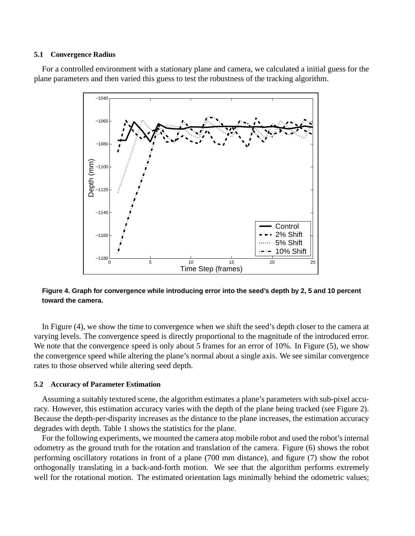### **5.1 Convergence Radius**

For a controlled environment with a stationary plane and camera, we calculated a initial guess for the plane parameters and then varied this guess to test the robustness of the tracking algorithm.



Figure 4. Graph for convergence while introducing error into the seed's depth by 2, 5 and 10 percent **toward the camera.**

In Figure (4), we show the time to convergence when we shift the seed's depth closer to the camera at varying levels. The convergence speed is directly proportional to the magnitude of the introduced error. We note that the convergence speed is only about 5 frames for an error of 10%. In Figure (5), we show the convergence speed while altering the plane's normal about a single axis. We see similar convergence rates to those observed while altering seed depth.

### **5.2 Accuracy of Parameter Estimation**

Assuming a suitably textured scene, the algorithm estimates a plane's parameters with sub-pixel accuracy. However, this estimation accuracy varies with the depth of the plane being tracked (see Figure 2). Because the depth-per-disparity increases as the distance to the plane increases, the estimation accuracy degrades with depth. Table 1 shows the statistics for the plane.

For the following experiments, we mounted the camera atop mobile robot and used the robot's internal odometry as the ground truth for the rotation and translation of the camera. Figure (6) shows the robot performing oscillatory rotations in front of a plane (700 mm distance), and figure (7) show the robot orthogonally translating in a back-and-forth motion. We see that the algorithm performs extremely well for the rotational motion. The estimated orientation lags minimally behind the odometric values;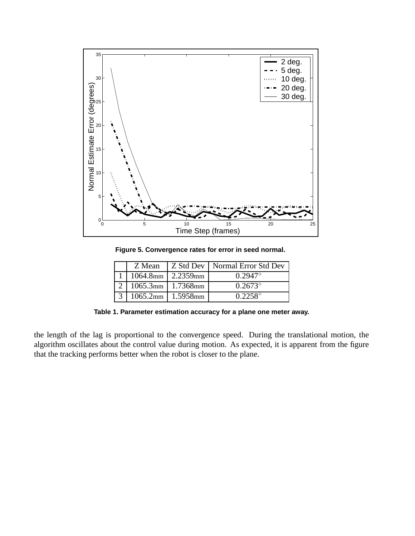

**Figure 5. Convergence rates for error in seed normal.**

| Z Mean                  | Z Std Dev   Normal Error Std Dev |
|-------------------------|----------------------------------|
| $1064.8$ mm   2.2359mm  | $0.2947^{\circ}$                 |
| 2   1065.3mm   1.7368mm | $0.2673^{\circ}$                 |
| $1065.2$ mm   1.5958mm  | $0.2258^{\circ}$                 |

**Table 1. Parameter estimation accuracy for a plane one meter away.**

the length of the lag is proportional to the convergence speed. During the translational motion, the algorithm oscillates about the control value during motion. As expected, it is apparent from the figure that the tracking performs better when the robot is closer to the plane.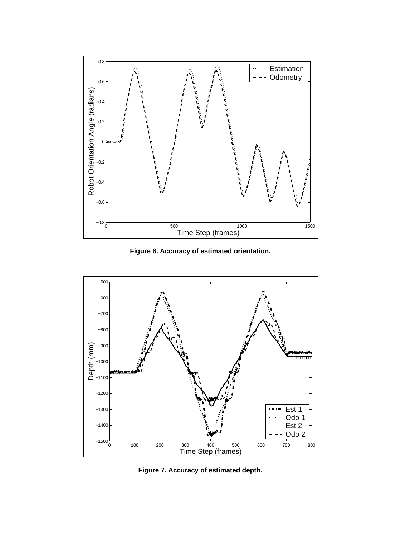

**Figure 6. Accuracy of estimated orientation.**



**Figure 7. Accuracy of estimated depth.**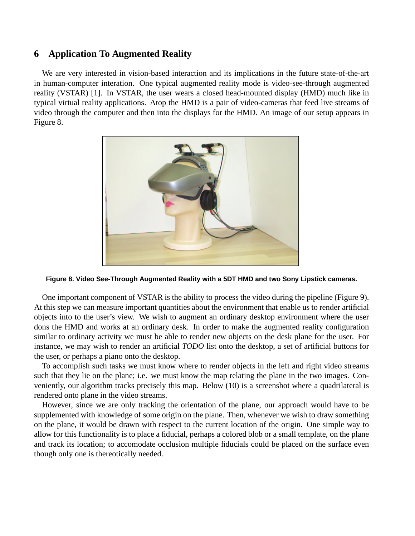# **6 Application To Augmented Reality**

We are very interested in vision-based interaction and its implications in the future state-of-the-art in human-computer interation. One typical augmented reality mode is video-see-through augmented reality (VSTAR) [1]. In VSTAR, the user wears a closed head-mounted display (HMD) much like in typical virtual reality applications. Atop the HMD is a pair of video-cameras that feed live streams of video through the computer and then into the displays for the HMD. An image of our setup appears in Figure 8.



**Figure 8. Video See-Through Augmented Reality with a 5DT HMD and two Sony Lipstick cameras.**

One important component of VSTAR is the ability to process the video during the pipeline (Figure 9). At this step we can measure important quantities about the environment that enable us to render artificial objects into to the user's view. We wish to augment an ordinary desktop environment where the user dons the HMD and works at an ordinary desk. In order to make the augmented reality configuration similar to ordinary activity we must be able to render new objects on the desk plane for the user. For instance, we may wish to render an artificial *TODO* list onto the desktop, a set of artificial buttons for the user, or perhaps a piano onto the desktop.

To accomplish such tasks we must know where to render objects in the left and right video streams such that they lie on the plane; i.e. we must know the map relating the plane in the two images. Conveniently, our algorithm tracks precisely this map. Below (10) is a screenshot where a quadrilateral is rendered onto plane in the video streams.

However, since we are only tracking the orientation of the plane, our approach would have to be supplemented with knowledge of some origin on the plane. Then, whenever we wish to draw something on the plane, it would be drawn with respect to the current location of the origin. One simple way to allow for this functionality is to place a fiducial, perhaps a colored blob or a small template, on the plane and track its location; to accomodate occlusion multiple fiducials could be placed on the surface even though only one is thereotically needed.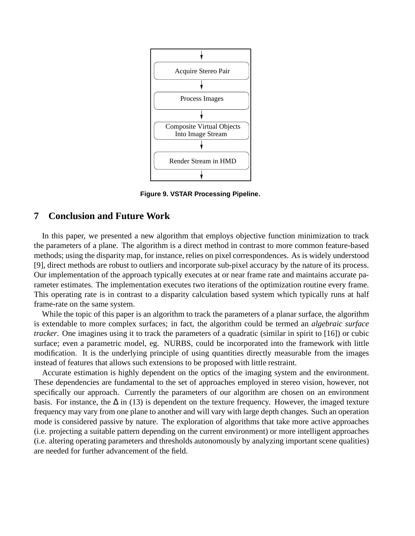

**Figure 9. VSTAR Processing Pipeline.**

# **7 Conclusion and Future Work**

In this paper, we presented a new algorithm that employs objective function minimization to track the parameters of a plane. The algorithm is a direct method in contrast to more common feature-based methods; using the disparity map, for instance, relies on pixel correspondences. As is widely understood [9], direct methods are robust to outliers and incorporate sub-pixel accuracy by the nature of its process. Our implementation of the approach typically executes at or near frame rate and maintains accurate parameter estimates. The implementation executes two iterations of the optimization routine every frame. This operating rate is in contrast to a disparity calculation based system which typically runs at half frame-rate on the same system.

While the topic of this paper is an algorithm to track the parameters of a planar surface, the algorithm is extendable to more complex surfaces; in fact, the algorithm could be termed an *algebraic surface tracker*. One imagines using it to track the parameters of a quadratic (similar in spirit to [16]) or cubic surface; even a parametric model, eg. NURBS, could be incorporated into the framework with little modification. It is the underlying principle of using quantities directly measurable from the images instead of features that allows such extensions to be proposed with little restraint.

Accurate estimation is highly dependent on the optics of the imaging system and the environment. These dependencies are fundamental to the set of approaches employed in stereo vision, however, not specifically our approach. Currently the parameters of our algorithm are chosen on an environment basis. For instance, the  $\Delta$  in (13) is dependent on the texture frequency. However, the imaged texture frequency may vary from one plane to another and will vary with large depth changes. Such an operation mode is considered passive by nature. The exploration of algorithms that take more active approaches (i.e. projecting a suitable pattern depending on the current environment) or more intelligent approaches (i.e. altering operating parameters and thresholds autonomously by analyzing important scene qualities) are needed for further advancement of the field.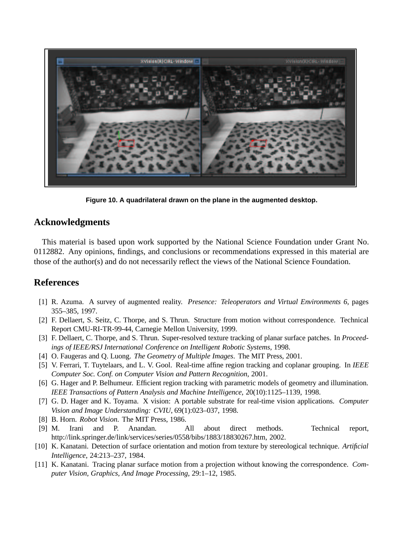

**Figure 10. A quadrilateral drawn on the plane in the augmented desktop.**

# **Acknowledgments**

This material is based upon work supported by the National Science Foundation under Grant No. 0112882. Any opinions, findings, and conclusions or recommendations expressed in this material are those of the author(s) and do not necessarily reflect the views of the National Science Foundation.

### **References**

- [1] R. Azuma. A survey of augmented reality. *Presence: Teleoperators and Virtual Environments 6*, pages 355–385, 1997.
- [2] F. Dellaert, S. Seitz, C. Thorpe, and S. Thrun. Structure from motion without correspondence. Technical Report CMU-RI-TR-99-44, Carnegie Mellon University, 1999.
- [3] F. Dellaert, C. Thorpe, and S. Thrun. Super-resolved texture tracking of planar surface patches. In *Proceedings of IEEE/RSJ International Conference on Intelligent Robotic Systems*, 1998.
- [4] O. Faugeras and Q. Luong. *The Geometry of Multiple Images*. The MIT Press, 2001.
- [5] V. Ferrari, T. Tuytelaars, and L. V. Gool. Real-time affine region tracking and coplanar grouping. In *IEEE Computer Soc. Conf. on Computer Vision and Pattern Recognition*, 2001.
- [6] G. Hager and P. Belhumeur. Efficient region tracking with parametric models of geometry and illumination. *IEEE Transactions of Pattern Analysis and Machine Intelligence*, 20(10):1125–1139, 1998.
- [7] G. D. Hager and K. Toyama. X vision: A portable substrate for real-time vision applications. *Computer Vision and Image Understanding: CVIU*, 69(1):023–037, 1998.
- [8] B. Horn. *Robot Vision*. The MIT Press, 1986.
- [9] M. Irani and P. Anandan. All about direct methods. Technical report, http://link.springer.de/link/services/series/0558/bibs/1883/18830267.htm, 2002.
- [10] K. Kanatani. Detection of surface orientation and motion from texture by stereological technique. *Artificial Intelligence*, 24:213–237, 1984.
- [11] K. Kanatani. Tracing planar surface motion from a projection without knowing the correspondence. *Computer Vision, Graphics, And Image Processing*, 29:1–12, 1985.